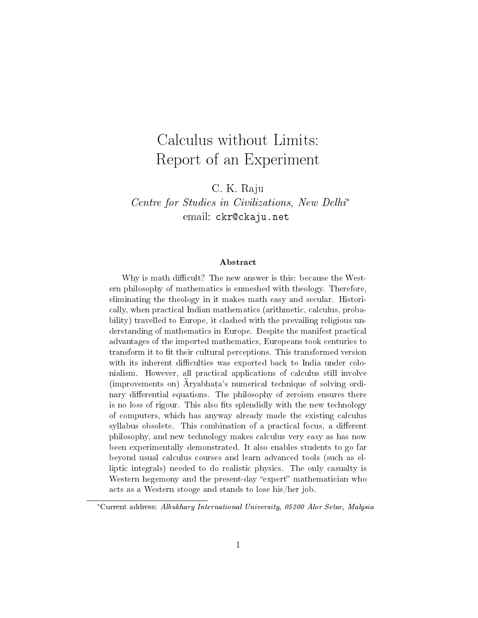# Calculus without Limits: Report of an Experiment

C. K. Raju

Centre for Studies in Civilizations, New Delhi<sup>∗</sup> email: ckr@ckaju.net

#### Abstract

Why is math difficult? The new answer is this: because the Western philosophy of mathematics is enmeshed with theology. Therefore, eliminating the theology in it makes math easy and secular. Historically, when practical Indian mathematics (arithmetic, calculus, probability) travelled to Europe, it clashed with the prevailing religious understanding of mathematics in Europe. Despite the manifest practical advantages of the imported mathematics, Europeans took centuries to transform it to fit their cultural perceptions. This transformed version with its inherent difficulties was exported back to India under colonialism. However, all practical applications of calculus still involve (improvements on)  $\bar{A}$ ryabhata's numerical technique of solving ordinary differential equations. The philosophy of zeroism ensures there is no loss of rigour. This also fits splendidly with the new technology of computers, which has anyway already made the existing calculus syllabus obsolete. This combination of a practical focus, a different philosophy, and new technology makes calculus very easy as has now been experimentally demonstrated. It also enables students to go far beyond usual calculus courses and learn advanced tools (such as elliptic integrals) needed to do realistic physics. The only casualty is Western hegemony and the present-day "expert" mathematician who acts as a Western stooge and stands to lose his/her job.

<sup>∗</sup>Current address: Albukhary International University, 05200 Alor Setar, Malysia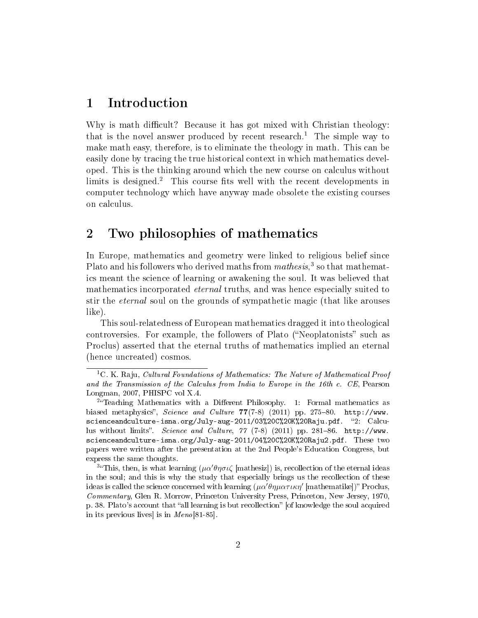#### 1 Introduction

Why is math difficult? Because it has got mixed with Christian theology: that is the novel answer produced by recent research.<sup>1</sup> The simple way to make math easy, therefore, is to eliminate the theology in math. This can be easily done by tracing the true historical context in which mathematics developed. This is the thinking around which the new course on calculus without limits is designed.<sup>2</sup> This course fits well with the recent developments in computer technology which have anyway made obsolete the existing courses on calculus.

#### 2 Two philosophies of mathematics

In Europe, mathematics and geometry were linked to religious belief since Plato and his followers who derived maths from mathesis,<sup>3</sup> so that mathematics meant the science of learning or awakening the soul. It was believed that mathematics incorporated *eternal* truths, and was hence especially suited to stir the eternal soul on the grounds of sympathetic magic (that like arouses like).

This soul-relatedness of European mathematics dragged it into theological controversies. For example, the followers of Plato ("Neoplatonists" such as Proclus) asserted that the eternal truths of mathematics implied an eternal (hence uncreated) cosmos.

<sup>&</sup>lt;sup>1</sup>C. K. Raju, *Cultural Foundations of Mathematics: The Nature of Mathematical Proof* and the Transmission of the Calculus from India to Europe in the 16th c. CE, Pearson Longman, 2007, PHISPC vol X.4.

<sup>&</sup>lt;sup>2</sup> Teaching Mathematics with a Different Philosophy. 1: Formal mathematics as biased metaphysics", Science and Culture  $77(7-8)$  (2011) pp. 275-80. http://www. scienceandculture-isna.org/July-aug-2011/03%20C%20K%20Raju.pdf. 2: Calculus without limits". Science and Culture,  $77$  (7-8) (2011) pp. 281-86. http://www. scienceandculture-isna.org/July-aug-2011/04%20C%20K%20Raju2.pdf. These two papers were written after the presentation at the 2nd People's Education Congress, but express the same thoughts.

<sup>&</sup>lt;sup>3</sup><sup>a</sup>This, then, is what learning  $(\mu \alpha' \theta \eta \sigma \iota \zeta \text{ [mathes]} )$  is, recollection of the eternal ideas in the soul; and this is why the study that especially brings us the recollection of these ideas is called the science concerned with learning  $(\mu \alpha' \theta \eta \mu \alpha \tau \iota \kappa \eta'$  [mathematike])" Proclus, Commentary, Glen R. Morrow, Princeton University Press, Princeton, New Jersey, 1970, p. 38. Plato's account that "all learning is but recollection" [of knowledge the soul acquired in its previous lives] is in Meno[81-85].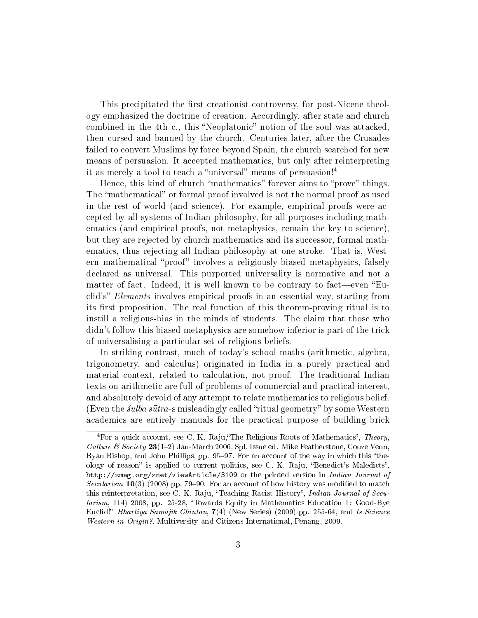This precipitated the first creationist controversy, for post-Nicene theology emphasized the doctrine of creation. Accordingly, after state and church combined in the 4th c., this "Neoplatonic" notion of the soul was attacked, then cursed and banned by the church. Centuries later, after the Crusades failed to convert Muslims by force beyond Spain, the church searched for new means of persuasion. It accepted mathematics, but only after reinterpreting it as merely a tool to teach a "universal" means of persuasion!<sup>4</sup>

Hence, this kind of church "mathematics" forever aims to "prove" things. The "mathematical" or formal proof involved is not the normal proof as used in the rest of world (and science). For example, empirical proofs were accepted by all systems of Indian philosophy, for all purposes including mathematics (and empirical proofs, not metaphysics, remain the key to science), but they are rejected by church mathematics and its successor, formal mathematics, thus rejecting all Indian philosophy at one stroke. That is, Western mathematical "proof" involves a religiously-biased metaphysics, falsely declared as universal. This purported universality is normative and not a matter of fact. Indeed, it is well known to be contrary to fact—even "Euclid's" Elements involves empirical proofs in an essential way, starting from its first proposition. The real function of this theorem-proving ritual is to instill a religious-bias in the minds of students. The claim that those who didn't follow this biased metaphysics are somehow inferior is part of the trick of universalising a particular set of religious beliefs.

In striking contrast, much of today's school maths (arithmetic, algebra, trigonometry, and calculus) originated in India in a purely practical and material context, related to calculation, not proof. The traditional Indian texts on arithmetic are full of problems of commercial and practical interest, and absolutely devoid of any attempt to relate mathematics to religious belief. (Even the *sulba sutra-s* misleadingly called "ritual geometry" by some Western academics are entirely manuals for the practical purpose of building brick

 $4$ For a quick account, see C. K. Raju, "The Religious Roots of Mathematics", Theory, *Culture & Society* 23(1–2) Jan-March 2006, Spl. Issue ed. Mike Featherstone, Couze Venn, Ryan Bishop, and John Phillips, pp. 95–97. For an account of the way in which this "theology of reason" is applied to current politics, see C. K. Raju, "Benedict's Maledicts" http://zmag.org/znet/viewArticle/3109 or the printed version in Indian Journal of Secularism  $10(3)$  (2008) pp. 79–90. For an account of how history was modified to match this reinterpretation, see C. K. Raju, "Teaching Racist History", Indian Journal of Secularism, 114) 2008, pp. 25-28, "Towards Equity in Mathematics Education 1: Good-Bye Euclid!" Bhartiya Samajik Chintan,  $7(4)$  (New Series) (2009) pp. 255-64, and Is Science Western in Origin?, Multiversity and Citizens International, Penang, 2009.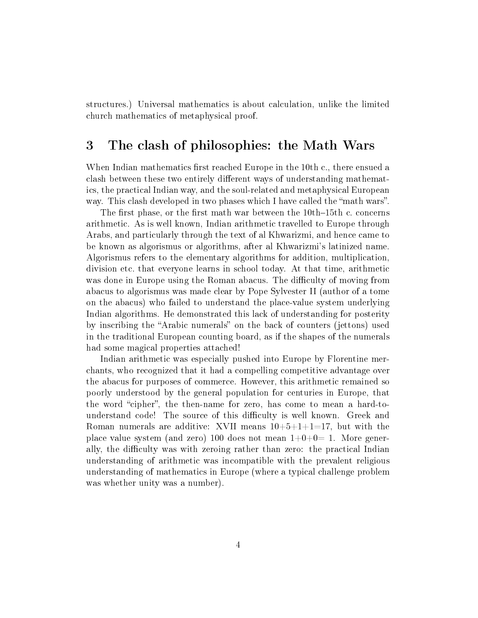structures.) Universal mathematics is about calculation, unlike the limited church mathematics of metaphysical proof.

### 3 The clash of philosophies: the Math Wars

When Indian mathematics first reached Europe in the  $10th$  c., there ensued a clash between these two entirely different ways of understanding mathematics, the practical Indian way, and the soul-related and metaphysical European way. This clash developed in two phases which I have called the "math wars".

The first phase, or the first math war between the  $10th-15th$  c. concerns arithmetic. As is well known, Indian arithmetic travelled to Europe through Arabs, and particularly through the text of al Khwarizmi, and hence came to be known as algorismus or algorithms, after al Khwarizmi's latinized name. Algorismus refers to the elementary algorithms for addition, multiplication, division etc. that everyone learns in school today. At that time, arithmetic was done in Europe using the Roman abacus. The difficulty of moving from abacus to algorismus was made clear by Pope Sylvester II (author of a tome on the abacus) who failed to understand the place-value system underlying Indian algorithms. He demonstrated this lack of understanding for posterity by inscribing the "Arabic numerals" on the back of counters (jettons) used in the traditional European counting board, as if the shapes of the numerals had some magical properties attached!

Indian arithmetic was especially pushed into Europe by Florentine merchants, who recognized that it had a compelling competitive advantage over the abacus for purposes of commerce. However, this arithmetic remained so poorly understood by the general population for centuries in Europe, that the word "cipher", the then-name for zero, has come to mean a hard-tounderstand code! The source of this difficulty is well known. Greek and Roman numerals are additive: XVII means  $10+5+1+1=17$ , but with the place value system (and zero) 100 does not mean  $1+0+0=1$ . More generally, the difficulty was with zeroing rather than zero: the practical Indian understanding of arithmetic was incompatible with the prevalent religious understanding of mathematics in Europe (where a typical challenge problem was whether unity was a number).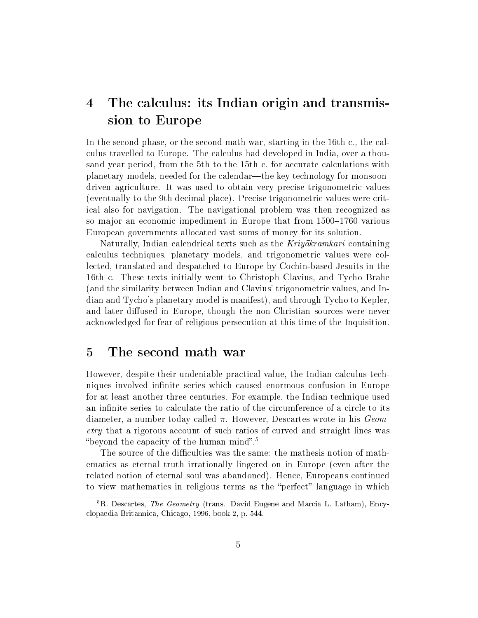## 4 The calculus: its Indian origin and transmission to Europe

In the second phase, or the second math war, starting in the 16th c., the calculus travelled to Europe. The calculus had developed in India, over a thousand year period, from the 5th to the 15th c. for accurate calculations with planetary models, needed for the calendar—the key technology for monsoondriven agriculture. It was used to obtain very precise trigonometric values (eventually to the 9th decimal place). Precise trigonometric values were critical also for navigation. The navigational problem was then recognized as so major an economic impediment in Europe that from 1500–1760 various European governments allocated vast sums of money for its solution.

Naturally, Indian calendrical texts such as the  $Kriyakramkari$  containing calculus techniques, planetary models, and trigonometric values were collected, translated and despatched to Europe by Cochin-based Jesuits in the 16th c. These texts initially went to Christoph Clavius, and Tycho Brahe (and the similarity between Indian and Clavius' trigonometric values, and Indian and Tycho's planetary model is manifest), and through Tycho to Kepler, and later diffused in Europe, though the non-Christian sources were never acknowledged for fear of religious persecution at this time of the Inquisition.

### 5 The second math war

However, despite their undeniable practical value, the Indian calculus techniques involved infinite series which caused enormous confusion in Europe for at least another three centuries. For example, the Indian technique used an infinite series to calculate the ratio of the circumference of a circle to its diameter, a number today called  $\pi$ . However, Descartes wrote in his  $Geom$ etry that a rigorous account of such ratios of curved and straight lines was "beyond the capacity of the human mind".<sup>5</sup>

The source of the difficulties was the same: the mathesis notion of mathematics as eternal truth irrationally lingered on in Europe (even after the related notion of eternal soul was abandoned). Hence, Europeans continued to view mathematics in religious terms as the "perfect" language in which

 ${}^{5}R$ . Descartes, The Geometry (trans. David Eugene and Marcia L. Latham), Encyclopaedia Britannica, Chicago, 1996, book 2, p. 544.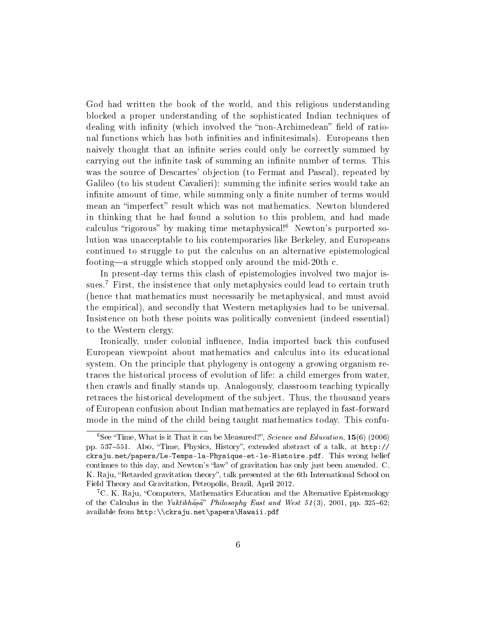God had written the book of the world, and this religious understanding blocked a proper understanding of the sophisticated Indian techniques of dealing with infinity (which involved the "non-Archimedean" field of rational functions which has both infinities and infinitesimals). Europeans then naively thought that an infinite series could only be correctly summed by carrying out the infinite task of summing an infinite number of terms. This was the source of Descartes' objection (to Fermat and Pascal), repeated by Galileo (to his student Cavalieri): summing the infinite series would take an infinite amount of time, while summing only a finite number of terms would mean an "imperfect" result which was not mathematics. Newton blundered in thinking that he had found a solution to this problem, and had made calculus "rigorous" by making time metaphysical!<sup>6</sup> Newton's purported solution was unacceptable to his contemporaries like Berkeley, and Europeans continued to struggle to put the calculus on an alternative epistemological footing—a struggle which stopped only around the mid-20th c.

In present-day terms this clash of epistemologies involved two major issues.<sup>7</sup> First, the insistence that only metaphysics could lead to certain truth (hence that mathematics must necessarily be metaphysical, and must avoid the empirical), and secondly that Western metaphysics had to be universal. Insistence on both these points was politically convenient (indeed essential) to the Western clergy.

Ironically, under colonial influence, India imported back this confused European viewpoint about mathematics and calculus into its educational system. On the principle that phylogeny is ontogeny a growing organism retraces the historical process of evolution of life: a child emerges from water, then crawls and finally stands up. Analogously, classroom teaching typically retraces the historical development of the subject. Thus, the thousand years of European confusion about Indian mathematics are replayed in fast-forward mode in the mind of the child being taught mathematics today. This confu-

 ${}^{6}$ See "Time, What is it That it can be Measured?", Science and Education, 15(6) (2006) pp. 537–551. Also, "Time, Physics, History", extended abstract of a talk, at http:// ckraju.net/papers/Le-Temps-la-Physique-et-le-Histoire.pdf. This wrong belief continues to this day, and Newton's "law" of gravitation has only just been amended. C. K. Raju, "Retarded gravitation theory", talk presented at the 6th International School on Field Theory and Gravitation, Petropolis, Brazil, April 2012.

<sup>&</sup>lt;sup>7</sup>C. K. Raju, "Computers, Mathematics Education and the Alternative Epistemology of the Calculus in the Yuktibhasa" Philosophy East and West 51(3), 2001, pp. 325–62; available from http:\\ckraju.net\papers\Hawaii.pdf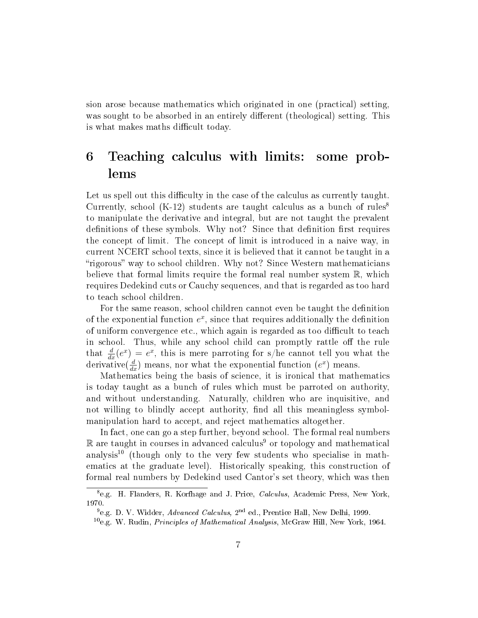sion arose because mathematics which originated in one (practical) setting, was sought to be absorbed in an entirely different (theological) setting. This is what makes maths difficult today.

# 6 Teaching calculus with limits: some problems

Let us spell out this difficulty in the case of the calculus as currently taught. Currently, school  $(K-12)$  students are taught calculus as a bunch of rules<sup>8</sup> to manipulate the derivative and integral, but are not taught the prevalent definitions of these symbols. Why not? Since that definition first requires the concept of limit. The concept of limit is introduced in a naive way, in current NCERT school texts, since it is believed that it cannot be taught in a "rigorous" way to school children. Why not? Since Western mathematicians believe that formal limits require the formal real number system  $\mathbb{R}$ , which requires Dedekind cuts or Cauchy sequences, and that is regarded as too hard to teach school children.

For the same reason, school children cannot even be taught the definition of the exponential function  $e^x$ , since that requires additionally the definition of uniform convergence etc., which again is regarded as too difficult to teach in school. Thus, while any school child can promptly rattle off the rule that  $\frac{d}{dx}(e^x) = e^x$ , this is mere parroting for s/he cannot tell you what the derivative( $\frac{d}{dx}$ ) means, nor what the exponential function  $(e^x)$  means.

Mathematics being the basis of science, it is ironical that mathematics is today taught as a bunch of rules which must be parroted on authority, and without understanding. Naturally, children who are inquisitive, and not willing to blindly accept authority, find all this meaningless symbolmanipulation hard to accept, and reject mathematics altogether.

In fact, one can go a step further, beyond school. The formal real numbers  $\mathbb R$  are taught in courses in advanced calculus<sup>9</sup> or topology and mathematical analysis<sup>10</sup> (though only to the very few students who specialise in mathematics at the graduate level). Historically speaking, this construction of formal real numbers by Dedekind used Cantor's set theory, which was then

<sup>&</sup>lt;sup>8</sup>e.g. H. Flanders, R. Korfhage and J. Price, *Calculus*, Academic Press, New York, 1970.

<sup>&</sup>lt;sup>9</sup>e.g. D. V. Widder, Advanced Calculus, 2<sup>nd</sup> ed., Prentice Hall, New Delhi, 1999.

 $10$ e.g. W. Rudin, *Principles of Mathematical Analysis*, McGraw Hill, New York, 1964.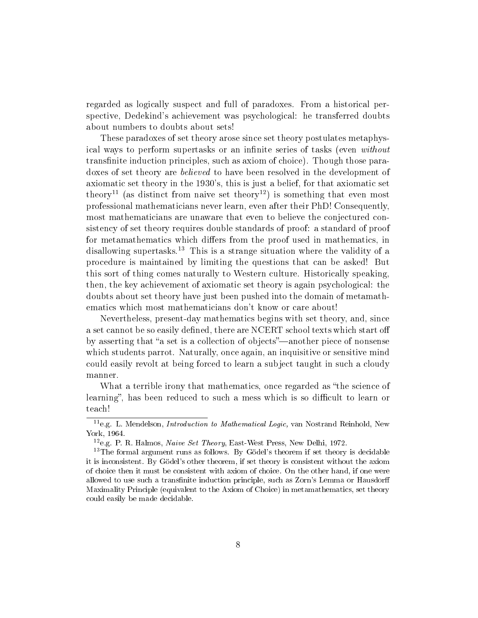regarded as logically suspect and full of paradoxes. From a historical perspective, Dedekind's achievement was psychological: he transferred doubts about numbers to doubts about sets!

These paradoxes of set theory arose since set theory postulates metaphysical ways to perform supertasks or an infinite series of tasks (even without transfinite induction principles, such as axiom of choice). Though those paradoxes of set theory are believed to have been resolved in the development of axiomatic set theory in the 1930's, this is just a belief, for that axiomatic set theory<sup>11</sup> (as distinct from naive set theory<sup>12</sup>) is something that even most professional mathematicians never learn, even after their PhD! Consequently, most mathematicians are unaware that even to believe the conjectured consistency of set theory requires double standards of proof: a standard of proof for metamathematics which differs from the proof used in mathematics, in disallowing supertasks.<sup>13</sup> This is a strange situation where the validity of a procedure is maintained by limiting the questions that can be asked! But this sort of thing comes naturally to Western culture. Historically speaking, then, the key achievement of axiomatic set theory is again psychological: the doubts about set theory have just been pushed into the domain of metamathematics which most mathematicians don't know or care about!

Nevertheless, present-day mathematics begins with set theory, and, since a set cannot be so easily defined, there are NCERT school texts which start off by asserting that "a set is a collection of objects"—another piece of nonsense which students parrot. Naturally, once again, an inquisitive or sensitive mind could easily revolt at being forced to learn a subject taught in such a cloudy manner.

What a terrible irony that mathematics, once regarded as "the science of learning", has been reduced to such a mess which is so difficult to learn or teach!

 $11_{\text{e.g.}}$  L. Mendelson, *Introduction to Mathematical Logic*, van Nostrand Reinhold, New York, 1964.

<sup>&</sup>lt;sup>12</sup>e.g. P. R. Halmos, Naive Set Theory, East-West Press, New Delhi, 1972.

 $13$ The formal argument runs as follows. By Gödel's theorem if set theory is decidable it is inconsistent. By Gödel's other theorem, if set theory is consistent without the axiom of choice then it must be consistent with axiom of choice. On the other hand, if one were allowed to use such a transfinite induction principle, such as Zorn's Lemma or Hausdorff Maximality Principle (equivalent to the Axiom of Choice) in metamathematics, set theory could easily be made decidable.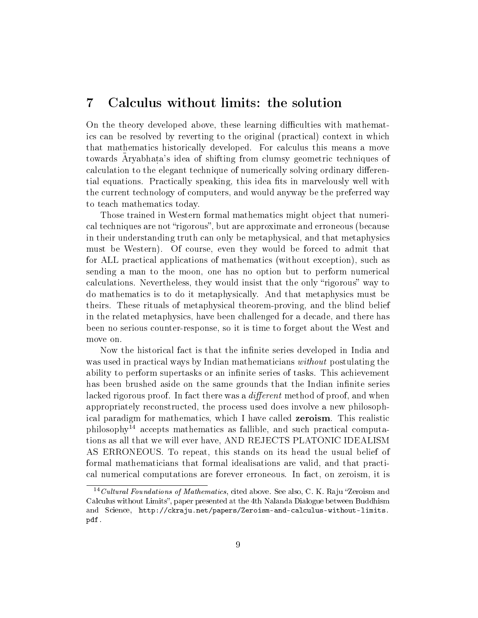#### 7 Calculus without limits: the solution

On the theory developed above, these learning difficulties with mathematics can be resolved by reverting to the original (practical) context in which that mathematics historically developed. For calculus this means a move towards Aryabhata's idea of shifting from clumsy geometric techniques of calculation to the elegant technique of numerically solving ordinary differential equations. Practically speaking, this idea fits in marvelously well with the current technology of computers, and would anyway be the preferred way to teach mathematics today.

Those trained in Western formal mathematics might object that numerical techniques are not "rigorous", but are approximate and erroneous (because in their understanding truth can only be metaphysical, and that metaphysics must be Western). Of course, even they would be forced to admit that for ALL practical applications of mathematics (without exception), such as sending a man to the moon, one has no option but to perform numerical calculations. Nevertheless, they would insist that the only "rigorous" way to do mathematics is to do it metaphysically. And that metaphysics must be theirs. These rituals of metaphysical theorem-proving, and the blind belief in the related metaphysics, have been challenged for a decade, and there has been no serious counter-response, so it is time to forget about the West and move on.

Now the historical fact is that the infinite series developed in India and was used in practical ways by Indian mathematicians *without* postulating the ability to perform supertasks or an infinite series of tasks. This achievement has been brushed aside on the same grounds that the Indian infinite series lacked rigorous proof. In fact there was a *different* method of proof, and when appropriately reconstructed, the process used does involve a new philosophical paradigm for mathematics, which I have called zeroism. This realistic  $philosophy<sup>14</sup>$  accepts mathematics as fallible, and such practical computations as all that we will ever have, AND REJECTS PLATONIC IDEALISM AS ERRONEOUS. To repeat, this stands on its head the usual belief of formal mathematicians that formal idealisations are valid, and that practical numerical computations are forever erroneous. In fact, on zeroism, it is

<sup>&</sup>lt;sup>14</sup> Cultural Foundations of Mathematics, cited above. See also, C. K. Raju "Zeroism and Calculus without Limits", paper presented at the 4th Nalanda Dialogue between Buddhism and Science, http://ckraju.net/papers/Zeroism-and-calculus-without-limits. pdf.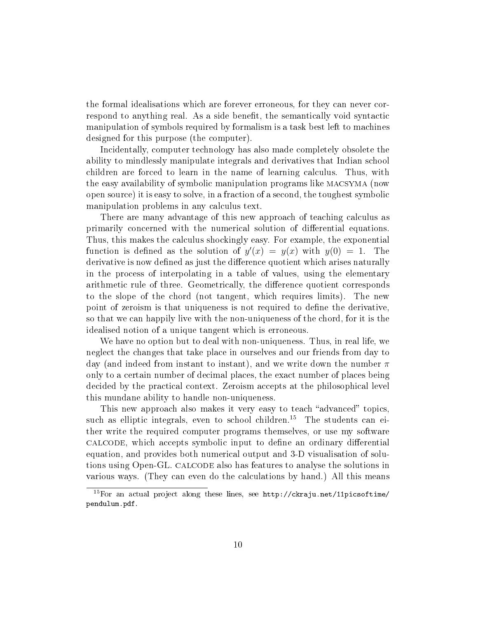the formal idealisations which are forever erroneous, for they can never correspond to anything real. As a side benet, the semantically void syntactic manipulation of symbols required by formalism is a task best left to machines designed for this purpose (the computer).

Incidentally, computer technology has also made completely obsolete the ability to mindlessly manipulate integrals and derivatives that Indian school children are forced to learn in the name of learning calculus. Thus, with the easy availability of symbolic manipulation programs like macsyma (now open source) it is easy to solve, in a fraction of a second, the toughest symbolic manipulation problems in any calculus text.

There are many advantage of this new approach of teaching calculus as primarily concerned with the numerical solution of differential equations. Thus, this makes the calculus shockingly easy. For example, the exponential function is defined as the solution of  $y'(x) = y(x)$  with  $y(0) = 1$ . The derivative is now defined as just the difference quotient which arises naturally in the process of interpolating in a table of values, using the elementary arithmetic rule of three. Geometrically, the difference quotient corresponds to the slope of the chord (not tangent, which requires limits). The new point of zeroism is that uniqueness is not required to define the derivative, so that we can happily live with the non-uniqueness of the chord, for it is the idealised notion of a unique tangent which is erroneous.

We have no option but to deal with non-uniqueness. Thus, in real life, we neglect the changes that take place in ourselves and our friends from day to day (and indeed from instant to instant), and we write down the number  $\pi$ only to a certain number of decimal places, the exact number of places being decided by the practical context. Zeroism accepts at the philosophical level this mundane ability to handle non-uniqueness.

This new approach also makes it very easy to teach "advanced" topics, such as elliptic integrals, even to school children.<sup>15</sup> The students can either write the required computer programs themselves, or use my software calcode, which accepts symbolic input to define an ordinary differential equation, and provides both numerical output and 3-D visualisation of solutions using Open-GL. calcode also has features to analyse the solutions in various ways. (They can even do the calculations by hand.) All this means

<sup>&</sup>lt;sup>15</sup>For an actual project along these lines, see  $http://ckraju.net/11picsoftime/$ pendulum.pdf.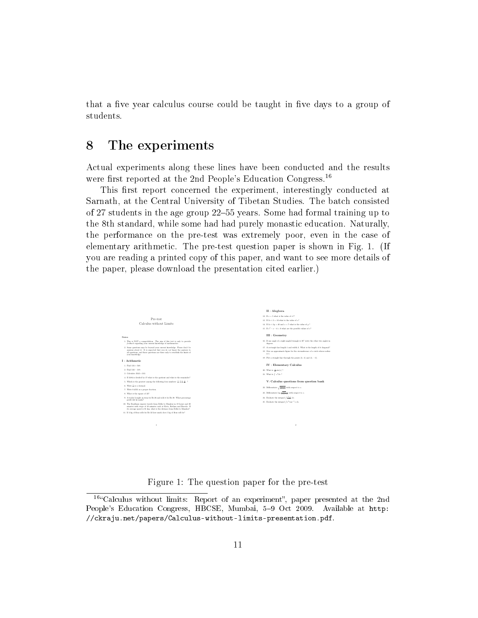that a five year calculus course could be taught in five days to a group of students.

#### 8 The experiments

Actual experiments along these lines have been conducted and the results were first reported at the 2nd People's Education Congress.<sup>16</sup>

This first report concerned the experiment, interestingly conducted at Sarnath, at the Central University of Tibetan Studies. The batch consisted of 27 students in the age group 22–55 years. Some had formal training up to the 8th standard, while some had had purely monastic education. Naturally, the performance on the pre-test was extremely poor, even in the case of elementary arithmetic. The pre-test question paper is shown in Fig. 1. (If you are reading a printed copy of this paper, and want to see more details of the paper, please download the presentation cited earlier.)



Figure 1: The question paper for the pre-test

<sup>&</sup>lt;sup>16</sup>"Calculus without limits: Report of an experiment", paper presented at the 2nd People's Education Congress, HBCSE, Mumbai, 5-9 Oct 2009. Available at http: //ckraju.net/papers/Calculus-without-limits-presentation.pdf.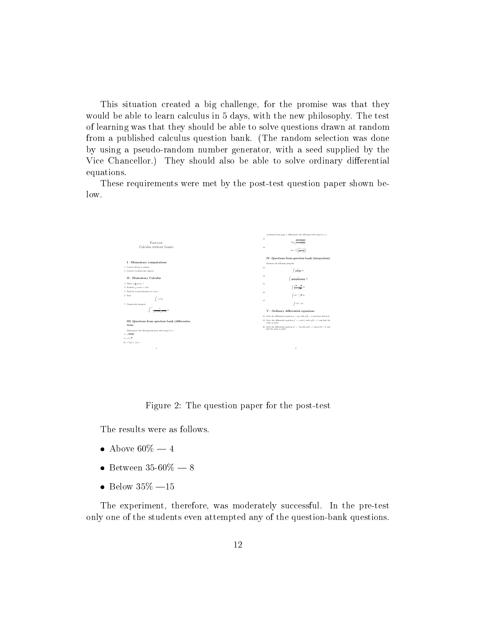This situation created a big challenge, for the promise was that they would be able to learn calculus in 5 days, with the new philosophy. The test of learning was that they should be able to solve questions drawn at random from a published calculus question bank. (The random selection was done by using a pseudo-random number generator, with a seed supplied by the Vice Chancellor.) They should also be able to solve ordinary differential equations.

These requirements were met by the post-test question paper shown below.



Figure 2: The question paper for the post-test

The results were as follows.

- Above  $60\% 4$
- $\bullet$  Between 35-60\% 8
- $\bullet$  Below 35\% -15

The experiment, therefore, was moderately successful. In the pre-test only one of the students even attempted any of the question-bank questions.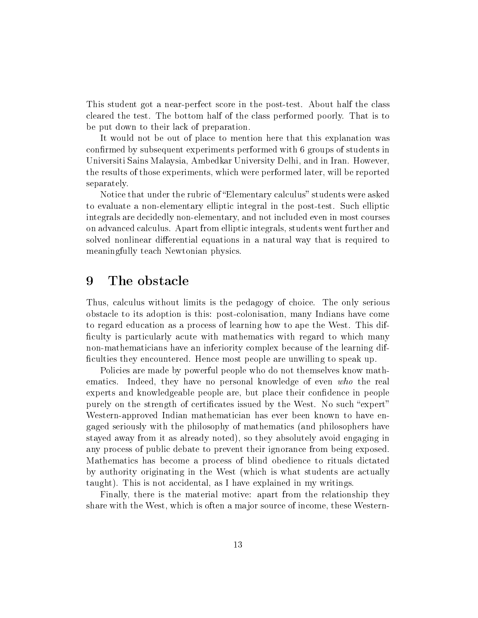This student got a near-perfect score in the post-test. About half the class cleared the test. The bottom half of the class performed poorly. That is to be put down to their lack of preparation.

It would not be out of place to mention here that this explanation was confirmed by subsequent experiments performed with 6 groups of students in Universiti Sains Malaysia, Ambedkar University Delhi, and in Iran. However, the results of those experiments, which were performed later, will be reported separately.

Notice that under the rubric of "Elementary calculus" students were asked to evaluate a non-elementary elliptic integral in the post-test. Such elliptic integrals are decidedly non-elementary, and not included even in most courses on advanced calculus. Apart from elliptic integrals, students went further and solved nonlinear differential equations in a natural way that is required to meaningfully teach Newtonian physics.

#### 9 The obstacle

Thus, calculus without limits is the pedagogy of choice. The only serious obstacle to its adoption is this: post-colonisation, many Indians have come to regard education as a process of learning how to ape the West. This dif ficulty is particularly acute with mathematics with regard to which many non-mathematicians have an inferiority complex because of the learning dif ficulties they encountered. Hence most people are unwilling to speak up.

Policies are made by powerful people who do not themselves know mathematics. Indeed, they have no personal knowledge of even who the real experts and knowledgeable people are, but place their condence in people purely on the strength of certificates issued by the West. No such "expert" Western-approved Indian mathematician has ever been known to have engaged seriously with the philosophy of mathematics (and philosophers have stayed away from it as already noted), so they absolutely avoid engaging in any process of public debate to prevent their ignorance from being exposed. Mathematics has become a process of blind obedience to rituals dictated by authority originating in the West (which is what students are actually taught). This is not accidental, as I have explained in my writings.

Finally, there is the material motive: apart from the relationship they share with the West, which is often a major source of income, these Western